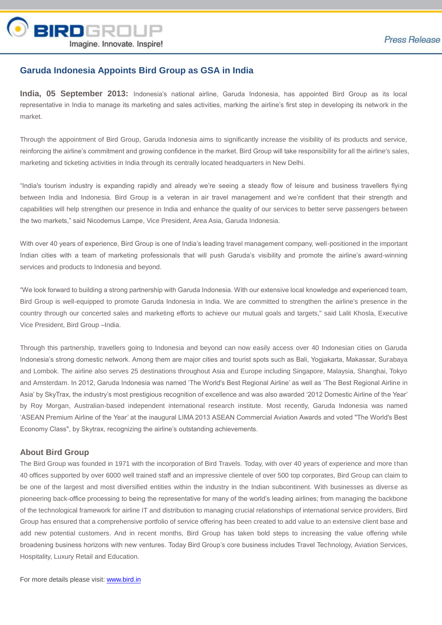

## **Garuda Indonesia Appoints Bird Group as GSA in India**

**India, 05 September 2013:** Indonesia's national airline, Garuda Indonesia, has appointed Bird Group as its local representative in India to manage its marketing and sales activities, marking the airline's first step in developing its network in the market.

Through the appointment of Bird Group, Garuda Indonesia aims to significantly increase the visibility of its products and service, reinforcing the airline's commitment and growing confidence in the market. Bird Group will take responsibility for all the airline's sales, marketing and ticketing activities in India through its centrally located headquarters in New Delhi.

"India's tourism industry is expanding rapidly and already we're seeing a steady flow of leisure and business travellers flying between India and Indonesia. Bird Group is a veteran in air travel management and we're confident that their strength and capabilities will help strengthen our presence in India and enhance the quality of our services to better serve passengers between the two markets," said Nicodemus Lampe, Vice President, Area Asia, Garuda Indonesia.

With over 40 years of experience. Bird Group is one of India's leading travel management company, well-positioned in the important Indian cities with a team of marketing professionals that will push Garuda's visibility and promote the airline's award-winning services and products to Indonesia and beyond.

"We look forward to building a strong partnership with Garuda Indonesia. With our extensive local knowledge and experienced team, Bird Group is well-equipped to promote Garuda Indonesia in India. We are committed to strengthen the airline's presence in the country through our concerted sales and marketing efforts to achieve our mutual goals and targets," said Lalit Khosla, Executive Vice President, Bird Group –India.

Through this partnership, travellers going to Indonesia and beyond can now easily access over 40 Indonesian cities on Garuda Indonesia's strong domestic network. Among them are major cities and tourist spots such as Bali, Yogjakarta, Makassar, Surabaya and Lombok. The airline also serves 25 destinations throughout Asia and Europe including Singapore, Malaysia, Shanghai, Tokyo and Amsterdam. In 2012, Garuda Indonesia was named 'The World's Best Regional Airline' as well as 'The Best Regional Airline in Asia' by SkyTrax, the industry's most prestigious recognition of excellence and was also awarded '2012 Domestic Airline of the Year' by Roy Morgan, Australian-based independent international research institute. Most recently, Garuda Indonesia was named 'ASEAN Premium Airline of the Year' at the inaugural LIMA 2013 ASEAN Commercial Aviation Awards and voted "The World's Best Economy Class", by Skytrax, recognizing the airline's outstanding achievements.

## **About Bird Group**

The Bird Group was founded in 1971 with the incorporation of Bird Travels. Today, with over 40 years of experience and more than 40 offices supported by over 6000 well trained staff and an impressive clientele of over 500 top corporates, Bird Group can claim to be one of the largest and most diversified entities within the industry in the Indian subcontinent. With businesses as diverse as pioneering back-office processing to being the representative for many of the world's leading airlines; from managing the backbone of the technological framework for airline IT and distribution to managing crucial relationships of international service providers, Bird Group has ensured that a comprehensive portfolio of service offering has been created to add value to an extensive client base and add new potential customers. And in recent months, Bird Group has taken bold steps to increasing the value offering while broadening business horizons with new ventures. Today Bird Group's core business includes Travel Technology, Aviation Services, Hospitality, Luxury Retail and Education.